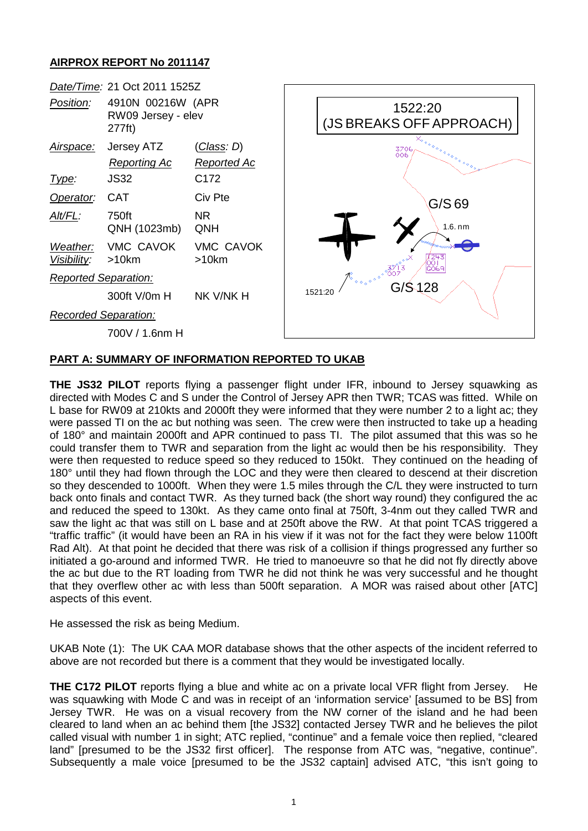## **AIRPROX REPORT No 2011147**



## **PART A: SUMMARY OF INFORMATION REPORTED TO UKAB**

**THE JS32 PILOT** reports flying a passenger flight under IFR, inbound to Jersey squawking as directed with Modes C and S under the Control of Jersey APR then TWR; TCAS was fitted. While on L base for RW09 at 210kts and 2000ft they were informed that they were number 2 to a light ac; they were passed TI on the ac but nothing was seen. The crew were then instructed to take up a heading of 180° and maintain 2000ft and APR continued to pass TI. The pilot assumed that this was so he could transfer them to TWR and separation from the light ac would then be his responsibility. They were then requested to reduce speed so they reduced to 150kt. They continued on the heading of 180° until they had flown through the LOC and they were then cleared to descend at their discretion so they descended to 1000ft. When they were 1.5 miles through the C/L they were instructed to turn back onto finals and contact TWR. As they turned back (the short way round) they configured the ac and reduced the speed to 130kt. As they came onto final at 750ft, 3-4nm out they called TWR and saw the light ac that was still on L base and at 250ft above the RW. At that point TCAS triggered a "traffic traffic" (it would have been an RA in his view if it was not for the fact they were below 1100ft Rad Alt). At that point he decided that there was risk of a collision if things progressed any further so initiated a go-around and informed TWR. He tried to manoeuvre so that he did not fly directly above the ac but due to the RT loading from TWR he did not think he was very successful and he thought that they overflew other ac with less than 500ft separation. A MOR was raised about other [ATC] aspects of this event.

He assessed the risk as being Medium.

UKAB Note (1): The UK CAA MOR database shows that the other aspects of the incident referred to above are not recorded but there is a comment that they would be investigated locally.

**THE C172 PILOT** reports flying a blue and white ac on a private local VFR flight from Jersey. He was squawking with Mode C and was in receipt of an 'information service' [assumed to be BS] from Jersey TWR. He was on a visual recovery from the NW corner of the island and he had been cleared to land when an ac behind them [the JS32] contacted Jersey TWR and he believes the pilot called visual with number 1 in sight; ATC replied, "continue" and a female voice then replied, "cleared land" [presumed to be the JS32 first officer]. The response from ATC was, "negative, continue". Subsequently a male voice [presumed to be the JS32 captain] advised ATC, "this isn't going to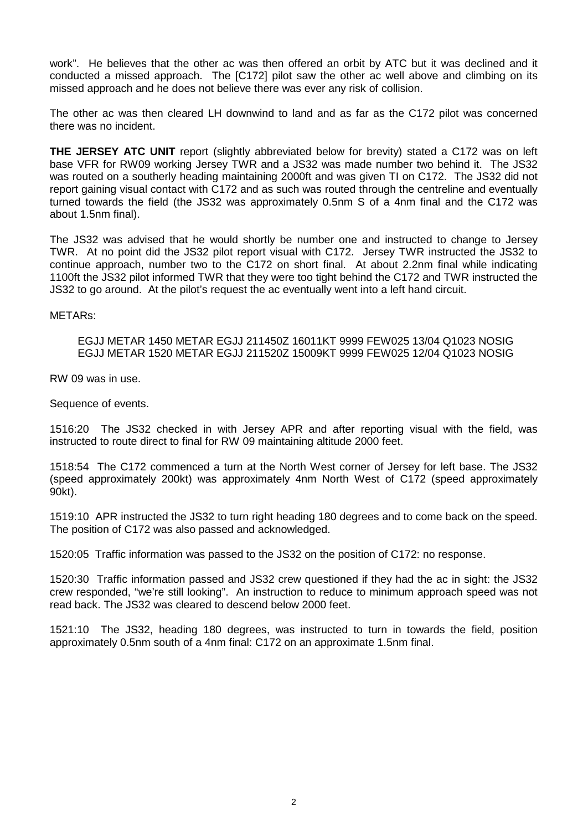work". He believes that the other ac was then offered an orbit by ATC but it was declined and it conducted a missed approach. The [C172] pilot saw the other ac well above and climbing on its missed approach and he does not believe there was ever any risk of collision.

The other ac was then cleared LH downwind to land and as far as the C172 pilot was concerned there was no incident.

**THE JERSEY ATC UNIT** report (slightly abbreviated below for brevity) stated a C172 was on left base VFR for RW09 working Jersey TWR and a JS32 was made number two behind it. The JS32 was routed on a southerly heading maintaining 2000ft and was given TI on C172. The JS32 did not report gaining visual contact with C172 and as such was routed through the centreline and eventually turned towards the field (the JS32 was approximately 0.5nm S of a 4nm final and the C172 was about 1.5nm final).

The JS32 was advised that he would shortly be number one and instructed to change to Jersey TWR. At no point did the JS32 pilot report visual with C172. Jersey TWR instructed the JS32 to continue approach, number two to the C172 on short final. At about 2.2nm final while indicating 1100ft the JS32 pilot informed TWR that they were too tight behind the C172 and TWR instructed the JS32 to go around. At the pilot's request the ac eventually went into a left hand circuit.

METARs:

EGJJ METAR 1450 METAR EGJJ 211450Z 16011KT 9999 FEW025 13/04 Q1023 NOSIG EGJJ METAR 1520 METAR EGJJ 211520Z 15009KT 9999 FEW025 12/04 Q1023 NOSIG

RW 09 was in use.

Sequence of events.

1516:20 The JS32 checked in with Jersey APR and after reporting visual with the field, was instructed to route direct to final for RW 09 maintaining altitude 2000 feet.

1518:54 The C172 commenced a turn at the North West corner of Jersey for left base. The JS32 (speed approximately 200kt) was approximately 4nm North West of C172 (speed approximately 90kt).

1519:10 APR instructed the JS32 to turn right heading 180 degrees and to come back on the speed. The position of C172 was also passed and acknowledged.

1520:05 Traffic information was passed to the JS32 on the position of C172: no response.

1520:30 Traffic information passed and JS32 crew questioned if they had the ac in sight: the JS32 crew responded, "we're still looking". An instruction to reduce to minimum approach speed was not read back. The JS32 was cleared to descend below 2000 feet.

1521:10 The JS32, heading 180 degrees, was instructed to turn in towards the field, position approximately 0.5nm south of a 4nm final: C172 on an approximate 1.5nm final.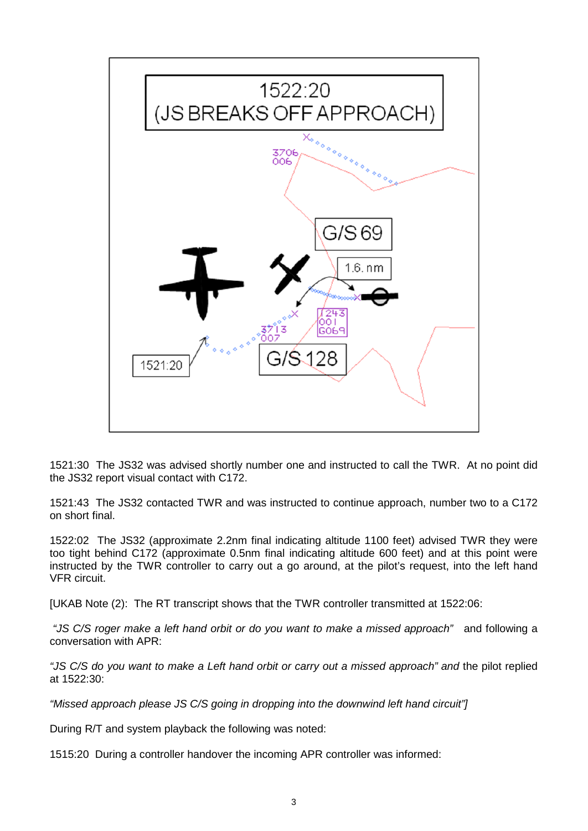

1521:30 The JS32 was advised shortly number one and instructed to call the TWR. At no point did the JS32 report visual contact with C172.

1521:43 The JS32 contacted TWR and was instructed to continue approach, number two to a C172 on short final.

1522:02 The JS32 (approximate 2.2nm final indicating altitude 1100 feet) advised TWR they were too tight behind C172 (approximate 0.5nm final indicating altitude 600 feet) and at this point were instructed by the TWR controller to carry out a go around, at the pilot's request, into the left hand VFR circuit.

[UKAB Note (2): The RT transcript shows that the TWR controller transmitted at 1522:06:

*"JS C/S roger make a left hand orbit or do you want to make a missed approach"* and following a conversation with APR:

*"JS C/S do you want to make a Left hand orbit or carry out a missed approach" and* the pilot replied at 1522:30:

*"Missed approach please JS C/S going in dropping into the downwind left hand circuit"]*

During R/T and system playback the following was noted:

1515:20 During a controller handover the incoming APR controller was informed: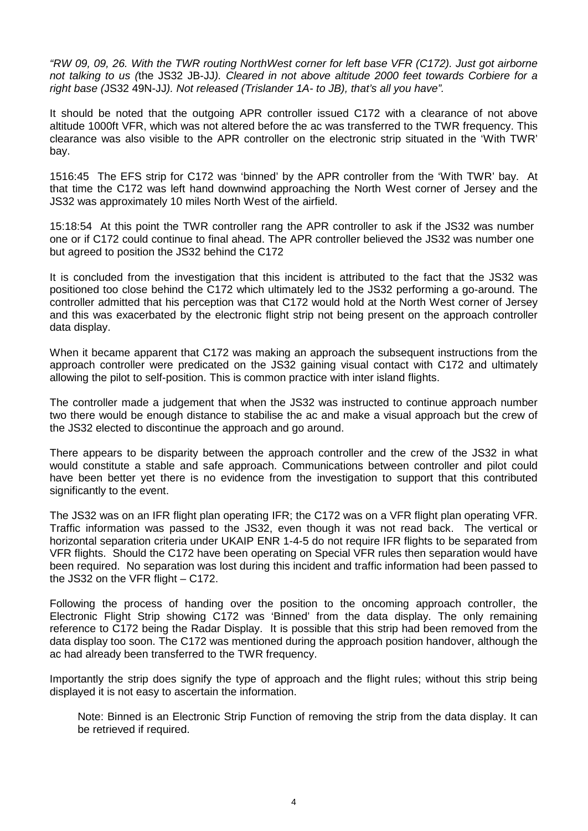*"RW 09, 09, 26. With the TWR routing NorthWest corner for left base VFR (C172). Just got airborne not talking to us (*the JS32 JB-JJ*). Cleared in not above altitude 2000 feet towards Corbiere for a right base (*JS32 49N-JJ*). Not released (Trislander 1A- to JB), that's all you have".*

It should be noted that the outgoing APR controller issued C172 with a clearance of not above altitude 1000ft VFR, which was not altered before the ac was transferred to the TWR frequency. This clearance was also visible to the APR controller on the electronic strip situated in the 'With TWR' bay.

1516:45 The EFS strip for C172 was 'binned' by the APR controller from the 'With TWR' bay. At that time the C172 was left hand downwind approaching the North West corner of Jersey and the JS32 was approximately 10 miles North West of the airfield.

15:18:54 At this point the TWR controller rang the APR controller to ask if the JS32 was number one or if C172 could continue to final ahead. The APR controller believed the JS32 was number one but agreed to position the JS32 behind the C172

It is concluded from the investigation that this incident is attributed to the fact that the JS32 was positioned too close behind the C172 which ultimately led to the JS32 performing a go-around. The controller admitted that his perception was that C172 would hold at the North West corner of Jersey and this was exacerbated by the electronic flight strip not being present on the approach controller data display.

When it became apparent that C172 was making an approach the subsequent instructions from the approach controller were predicated on the JS32 gaining visual contact with C172 and ultimately allowing the pilot to self-position. This is common practice with inter island flights.

The controller made a judgement that when the JS32 was instructed to continue approach number two there would be enough distance to stabilise the ac and make a visual approach but the crew of the JS32 elected to discontinue the approach and go around.

There appears to be disparity between the approach controller and the crew of the JS32 in what would constitute a stable and safe approach. Communications between controller and pilot could have been better yet there is no evidence from the investigation to support that this contributed significantly to the event.

The JS32 was on an IFR flight plan operating IFR; the C172 was on a VFR flight plan operating VFR. Traffic information was passed to the JS32, even though it was not read back. The vertical or horizontal separation criteria under UKAIP ENR 1-4-5 do not require IFR flights to be separated from VFR flights. Should the C172 have been operating on Special VFR rules then separation would have been required. No separation was lost during this incident and traffic information had been passed to the JS32 on the VFR flight – C172.

Following the process of handing over the position to the oncoming approach controller, the Electronic Flight Strip showing C172 was 'Binned' from the data display. The only remaining reference to C172 being the Radar Display. It is possible that this strip had been removed from the data display too soon. The C172 was mentioned during the approach position handover, although the ac had already been transferred to the TWR frequency.

Importantly the strip does signify the type of approach and the flight rules; without this strip being displayed it is not easy to ascertain the information.

Note: Binned is an Electronic Strip Function of removing the strip from the data display. It can be retrieved if required.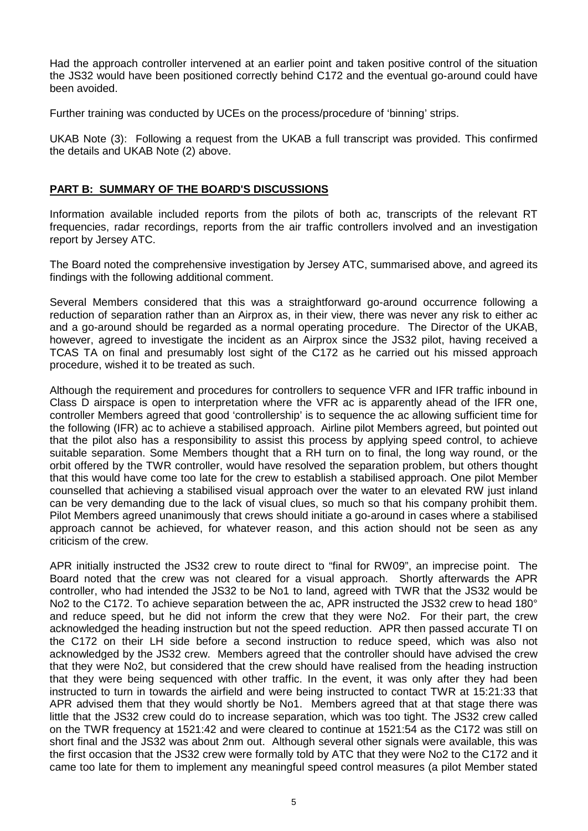Had the approach controller intervened at an earlier point and taken positive control of the situation the JS32 would have been positioned correctly behind C172 and the eventual go-around could have been avoided.

Further training was conducted by UCEs on the process/procedure of 'binning' strips.

UKAB Note (3): Following a request from the UKAB a full transcript was provided. This confirmed the details and UKAB Note (2) above.

## **PART B: SUMMARY OF THE BOARD'S DISCUSSIONS**

Information available included reports from the pilots of both ac, transcripts of the relevant RT frequencies, radar recordings, reports from the air traffic controllers involved and an investigation report by Jersey ATC.

The Board noted the comprehensive investigation by Jersey ATC, summarised above, and agreed its findings with the following additional comment.

Several Members considered that this was a straightforward go-around occurrence following a reduction of separation rather than an Airprox as, in their view, there was never any risk to either ac and a go-around should be regarded as a normal operating procedure. The Director of the UKAB, however, agreed to investigate the incident as an Airprox since the JS32 pilot, having received a TCAS TA on final and presumably lost sight of the C172 as he carried out his missed approach procedure, wished it to be treated as such.

Although the requirement and procedures for controllers to sequence VFR and IFR traffic inbound in Class D airspace is open to interpretation where the VFR ac is apparently ahead of the IFR one, controller Members agreed that good 'controllership' is to sequence the ac allowing sufficient time for the following (IFR) ac to achieve a stabilised approach. Airline pilot Members agreed, but pointed out that the pilot also has a responsibility to assist this process by applying speed control, to achieve suitable separation. Some Members thought that a RH turn on to final, the long way round, or the orbit offered by the TWR controller, would have resolved the separation problem, but others thought that this would have come too late for the crew to establish a stabilised approach. One pilot Member counselled that achieving a stabilised visual approach over the water to an elevated RW just inland can be very demanding due to the lack of visual clues, so much so that his company prohibit them. Pilot Members agreed unanimously that crews should initiate a go-around in cases where a stabilised approach cannot be achieved, for whatever reason, and this action should not be seen as any criticism of the crew.

APR initially instructed the JS32 crew to route direct to "final for RW09", an imprecise point. The Board noted that the crew was not cleared for a visual approach. Shortly afterwards the APR controller, who had intended the JS32 to be No1 to land, agreed with TWR that the JS32 would be No2 to the C172. To achieve separation between the ac, APR instructed the JS32 crew to head 180° and reduce speed, but he did not inform the crew that they were No2. For their part, the crew acknowledged the heading instruction but not the speed reduction. APR then passed accurate TI on the C172 on their LH side before a second instruction to reduce speed, which was also not acknowledged by the JS32 crew. Members agreed that the controller should have advised the crew that they were No2, but considered that the crew should have realised from the heading instruction that they were being sequenced with other traffic. In the event, it was only after they had been instructed to turn in towards the airfield and were being instructed to contact TWR at 15:21:33 that APR advised them that they would shortly be No1. Members agreed that at that stage there was little that the JS32 crew could do to increase separation, which was too tight. The JS32 crew called on the TWR frequency at 1521:42 and were cleared to continue at 1521:54 as the C172 was still on short final and the JS32 was about 2nm out. Although several other signals were available, this was the first occasion that the JS32 crew were formally told by ATC that they were No2 to the C172 and it came too late for them to implement any meaningful speed control measures (a pilot Member stated